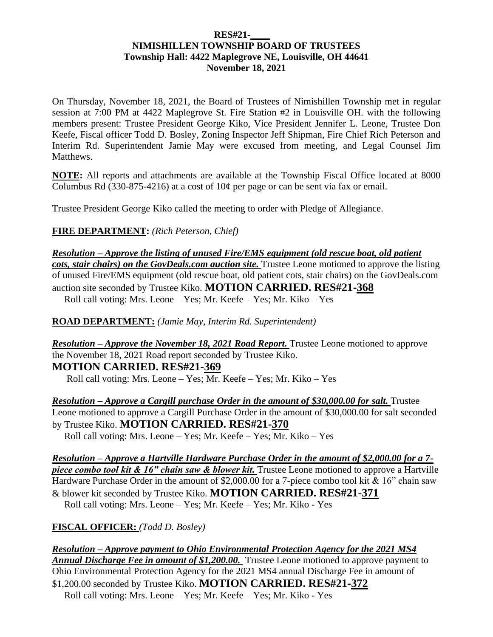#### **RES#21-\_\_\_\_ NIMISHILLEN TOWNSHIP BOARD OF TRUSTEES Township Hall: 4422 Maplegrove NE, Louisville, OH 44641 November 18, 2021**

On Thursday, November 18, 2021, the Board of Trustees of Nimishillen Township met in regular session at 7:00 PM at 4422 Maplegrove St. Fire Station #2 in Louisville OH. with the following members present: Trustee President George Kiko, Vice President Jennifer L. Leone, Trustee Don Keefe, Fiscal officer Todd D. Bosley, Zoning Inspector Jeff Shipman, Fire Chief Rich Peterson and Interim Rd. Superintendent Jamie May were excused from meeting, and Legal Counsel Jim Matthews.

**NOTE:** All reports and attachments are available at the Township Fiscal Office located at 8000 Columbus Rd (330-875-4216) at a cost of  $10¢$  per page or can be sent via fax or email.

Trustee President George Kiko called the meeting to order with Pledge of Allegiance.

**FIRE DEPARTMENT:** *(Rich Peterson, Chief)*

*Resolution – Approve the listing of unused Fire/EMS equipment (old rescue boat, old patient cots, stair chairs) on the GovDeals.com auction site.* Trustee Leone motioned to approve the listing of unused Fire/EMS equipment (old rescue boat, old patient cots, stair chairs) on the GovDeals.com auction site seconded by Trustee Kiko. **MOTION CARRIED. RES#21-368**

Roll call voting: Mrs. Leone – Yes; Mr. Keefe – Yes; Mr. Kiko – Yes

**ROAD DEPARTMENT:** *(Jamie May, Interim Rd. Superintendent)*

*Resolution – Approve the November 18, 2021 Road Report.* Trustee Leone motioned to approve the November 18, 2021 Road report seconded by Trustee Kiko. **MOTION CARRIED. RES#21-369**

Roll call voting: Mrs. Leone – Yes; Mr. Keefe – Yes; Mr. Kiko – Yes

*Resolution – Approve a Cargill purchase Order in the amount of \$30,000.00 for salt.* **Trustee** Leone motioned to approve a Cargill Purchase Order in the amount of \$30,000.00 for salt seconded by Trustee Kiko. **MOTION CARRIED. RES#21-370** Roll call voting: Mrs. Leone – Yes; Mr. Keefe – Yes; Mr. Kiko – Yes

*Resolution – Approve a Hartville Hardware Purchase Order in the amount of \$2,000.00 for a 7 piece combo tool kit & 16" chain saw & blower kit.* Trustee Leone motioned to approve a Hartville Hardware Purchase Order in the amount of \$2,000.00 for a 7-piece combo tool kit & 16" chain saw & blower kit seconded by Trustee Kiko. **MOTION CARRIED. RES#21-371**  Roll call voting: Mrs. Leone – Yes; Mr. Keefe – Yes; Mr. Kiko - Yes

**FISCAL OFFICER:** *(Todd D. Bosley)*

*Resolution – Approve payment to Ohio Environmental Protection Agency for the 2021 MS4 Annual Discharge Fee in amount of \$1,200.00.* Trustee Leone motioned to approve payment to Ohio Environmental Protection Agency for the 2021 MS4 annual Discharge Fee in amount of \$1,200.00 seconded by Trustee Kiko. **MOTION CARRIED. RES#21-372** Roll call voting: Mrs. Leone – Yes; Mr. Keefe – Yes; Mr. Kiko - Yes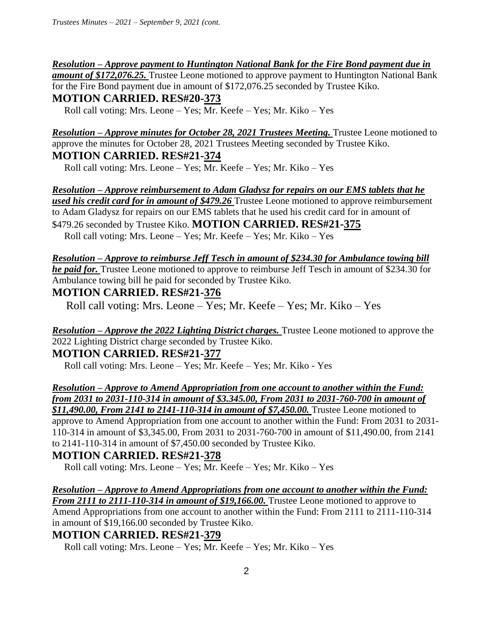#### *Resolution – Approve payment to Huntington National Bank for the Fire Bond payment due in*

*amount of \$172,076.25.* Trustee Leone motioned to approve payment to Huntington National Bank for the Fire Bond payment due in amount of \$172,076.25 seconded by Trustee Kiko. **MOTION CARRIED. RES#20-373**

Roll call voting: Mrs. Leone – Yes; Mr. Keefe – Yes; Mr. Kiko – Yes

*Resolution – Approve minutes for October 28, 2021 Trustees Meeting.* Trustee Leone motioned to approve the minutes for October 28, 2021 Trustees Meeting seconded by Trustee Kiko. **MOTION CARRIED. RES#21-374**

Roll call voting: Mrs. Leone – Yes; Mr. Keefe – Yes; Mr. Kiko – Yes

*Resolution – Approve reimbursement to Adam Gladysz for repairs on our EMS tablets that he used his credit card for in amount of \$479.26* Trustee Leone motioned to approve reimbursement to Adam Gladysz for repairs on our EMS tablets that he used his credit card for in amount of \$479.26 seconded by Trustee Kiko. **MOTION CARRIED. RES#21-375**  Roll call voting: Mrs. Leone – Yes; Mr. Keefe – Yes; Mr. Kiko – Yes

*Resolution – Approve to reimburse Jeff Tesch in amount of \$234.30 for Ambulance towing bill he paid for.* Trustee Leone motioned to approve to reimburse Jeff Tesch in amount of \$234.30 for Ambulance towing bill he paid for seconded by Trustee Kiko.

### **MOTION CARRIED. RES#21-376**

Roll call voting: Mrs. Leone – Yes; Mr. Keefe – Yes; Mr. Kiko – Yes

*Resolution – Approve the 2022 Lighting District charges.* Trustee Leone motioned to approve the 2022 Lighting District charge seconded by Trustee Kiko.

#### **MOTION CARRIED. RES#21-377**

Roll call voting: Mrs. Leone – Yes; Mr. Keefe – Yes; Mr. Kiko - Yes

*Resolution – Approve to Amend Appropriation from one account to another within the Fund: from 2031 to 2031-110-314 in amount of \$3.345.00, From 2031 to 2031-760-700 in amount of* 

**\$11,490.00, From 2141 to 2141-110-314 in amount of \$7,450.00.** Trustee Leone motioned to approve to Amend Appropriation from one account to another within the Fund: From 2031 to 2031- 110-314 in amount of \$3,345.00, From 2031 to 2031-760-700 in amount of \$11,490.00, from 2141 to 2141-110-314 in amount of \$7,450.00 seconded by Trustee Kiko.

## **MOTION CARRIED. RES#21-378**

Roll call voting: Mrs. Leone – Yes; Mr. Keefe – Yes; Mr. Kiko – Yes

*Resolution – Approve to Amend Appropriations from one account to another within the Fund: From 2111 to 2111-110-314 in amount of \$19,166.00.* Trustee Leone motioned to approve to Amend Appropriations from one account to another within the Fund: From 2111 to 2111-110-314 in amount of \$19,166.00 seconded by Trustee Kiko.

## **MOTION CARRIED. RES#21-379**

Roll call voting: Mrs. Leone – Yes; Mr. Keefe – Yes; Mr. Kiko – Yes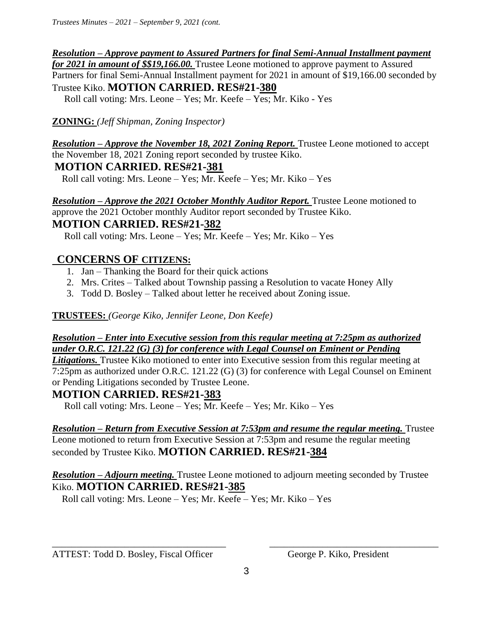#### *Resolution – Approve payment to Assured Partners for final Semi-Annual Installment payment*

*for 2021 in amount of \$\$19,166.00.* Trustee Leone motioned to approve payment to Assured Partners for final Semi-Annual Installment payment for 2021 in amount of \$19,166.00 seconded by Trustee Kiko. **MOTION CARRIED. RES#21-380** 

Roll call voting: Mrs. Leone – Yes; Mr. Keefe – Yes; Mr. Kiko - Yes

## **ZONING:** *(Jeff Shipman, Zoning Inspector)*

*Resolution – Approve the November 18, 2021 Zoning Report.* Trustee Leone motioned to accept the November 18, 2021 Zoning report seconded by trustee Kiko. **MOTION CARRIED. RES#21-381**

Roll call voting: Mrs. Leone – Yes; Mr. Keefe – Yes; Mr. Kiko – Yes

*Resolution – Approve the 2021 October Monthly Auditor Report.* Trustee Leone motioned to approve the 2021 October monthly Auditor report seconded by Trustee Kiko.

### **MOTION CARRIED. RES#21-382**

Roll call voting: Mrs. Leone – Yes; Mr. Keefe – Yes; Mr. Kiko – Yes

# **CONCERNS OF CITIZENS:**

- 1. Jan Thanking the Board for their quick actions
- 2. Mrs. Crites Talked about Township passing a Resolution to vacate Honey Ally
- 3. Todd D. Bosley Talked about letter he received about Zoning issue.

**TRUSTEES:** *(George Kiko, Jennifer Leone, Don Keefe)*

#### *Resolution – Enter into Executive session from this regular meeting at 7:25pm as authorized under O.R.C. 121.22 (G) (3) for conference with Legal Counsel on Eminent or Pending*

*Litigations.* Trustee Kiko motioned to enter into Executive session from this regular meeting at 7:25pm as authorized under O.R.C. 121.22 (G) (3) for conference with Legal Counsel on Eminent or Pending Litigations seconded by Trustee Leone.

# **MOTION CARRIED. RES#21-383**

Roll call voting: Mrs. Leone – Yes; Mr. Keefe – Yes; Mr. Kiko – Yes

# *Resolution – Return from Executive Session at 7:53pm and resume the regular meeting.* Trustee

Leone motioned to return from Executive Session at 7:53pm and resume the regular meeting seconded by Trustee Kiko. **MOTION CARRIED. RES#21-384**

### *Resolution – Adjourn meeting.* Trustee Leone motioned to adjourn meeting seconded by Trustee Kiko. **MOTION CARRIED. RES#21-385**

Roll call voting: Mrs. Leone – Yes; Mr. Keefe – Yes; Mr. Kiko – Yes

ATTEST: Todd D. Bosley, Fiscal Officer George P. Kiko, President

\_\_\_\_\_\_\_\_\_\_\_\_\_\_\_\_\_\_\_\_\_\_\_\_\_\_\_\_\_\_\_\_\_\_\_\_ \_\_\_\_\_\_\_\_\_\_\_\_\_\_\_\_\_\_\_\_\_\_\_\_\_\_\_\_\_\_\_\_\_\_\_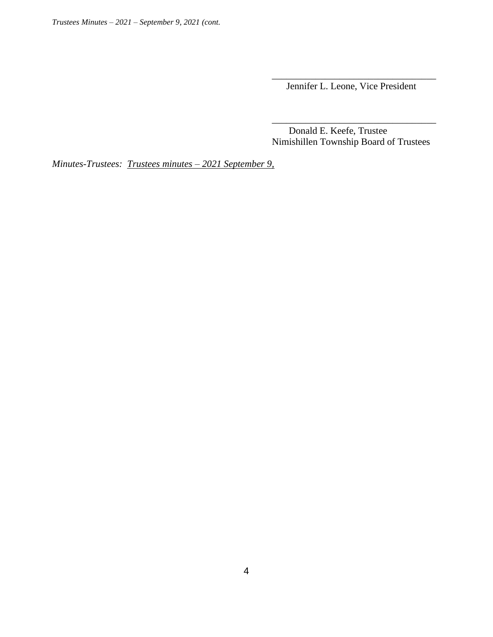Jennifer L. Leone, Vice President

 Donald E. Keefe, Trustee Nimishillen Township Board of Trustees

*Minutes-Trustees: Trustees minutes – 2021 September 9,*

 $\overline{\phantom{a}}$  , which is a set of the contract of the contract of the contract of the contract of the contract of the contract of the contract of the contract of the contract of the contract of the contract of the contract

 $\overline{\phantom{a}}$  , and the contract of the contract of the contract of the contract of the contract of the contract of the contract of the contract of the contract of the contract of the contract of the contract of the contrac